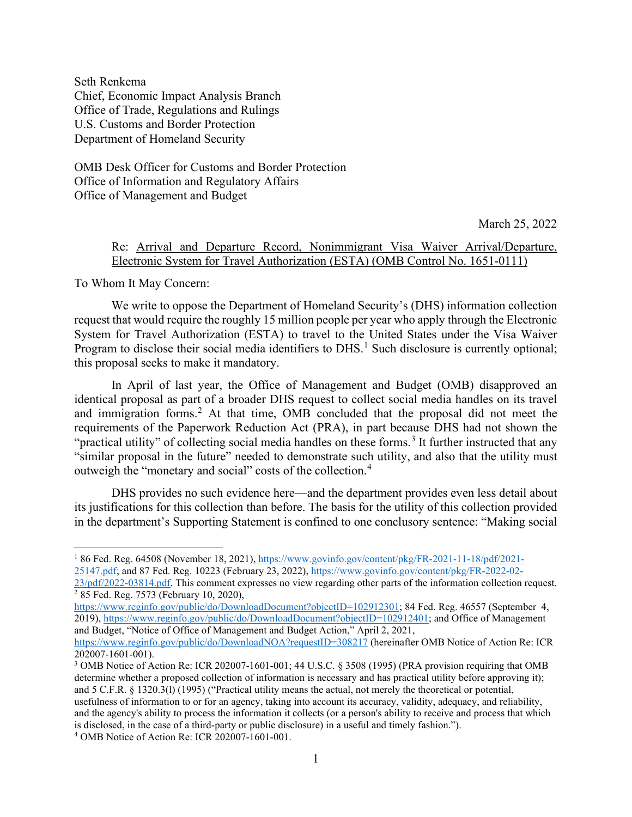Seth Renkema Chief, Economic Impact Analysis Branch Office of Trade, Regulations and Rulings U.S. Customs and Border Protection Department of Homeland Security

OMB Desk Officer for Customs and Border Protection Office of Information and Regulatory Affairs Office of Management and Budget

March 25, 2022

### Re: Arrival and Departure Record, Nonimmigrant Visa Waiver Arrival/Departure, Electronic System for Travel Authorization (ESTA) (OMB Control No. 1651-0111)

To Whom It May Concern:

We write to oppose the Department of Homeland Security's (DHS) information collection request that would require the roughly 15 million people per year who apply through the Electronic System for Travel Authorization (ESTA) to travel to the United States under the Visa Waiver Program to disclose their social media identifiers to DHS.<sup>[1](#page-0-0)</sup> Such disclosure is currently optional; this proposal seeks to make it mandatory.

In April of last year, the Office of Management and Budget (OMB) disapproved an identical proposal as part of a broader DHS request to collect social media handles on its travel and immigration forms.<sup>[2](#page-0-1)</sup> At that time, OMB concluded that the proposal did not meet the requirements of the Paperwork Reduction Act (PRA), in part because DHS had not shown the "practical utility" of collecting social media handles on these forms.<sup>[3](#page-0-2)</sup> It further instructed that any "similar proposal in the future" needed to demonstrate such utility, and also that the utility must outweigh the "monetary and social" costs of the collection.[4](#page-0-3)

DHS provides no such evidence here—and the department provides even less detail about its justifications for this collection than before. The basis for the utility of this collection provided in the department's Supporting Statement is confined to one conclusory sentence: "Making social

<span id="page-0-0"></span><sup>1</sup> 86 Fed. Reg. 64508 (November 18, 2021), [https://www.govinfo.gov/content/pkg/FR-2021-11-18/pdf/2021-](https://www.govinfo.gov/content/pkg/FR-2021-11-18/pdf/2021-25147.pdf) [25147.pdf;](https://www.govinfo.gov/content/pkg/FR-2021-11-18/pdf/2021-25147.pdf) and 87 Fed. Reg. 10223 (February 23, 2022)[, https://www.govinfo.gov/content/pkg/FR-2022-02-](https://www.govinfo.gov/content/pkg/FR-2022-02-23/pdf/2022-03814.pdf)

<span id="page-0-1"></span> $\frac{23/\text{pdf}/2022-03814.\text{pdf}}{285 \text{ Fed. Reg. } 7573 \text{ (February 10, 2020)}}$ ,

[https://www.reginfo.gov/public/do/DownloadDocument?objectID=102912301;](https://www.reginfo.gov/public/do/DownloadDocument?objectID=102912301) 84 Fed. Reg. 46557 (September 4, 2019), [https://www.reginfo.gov/public/do/DownloadDocument?objectID=102912401;](https://www.reginfo.gov/public/do/DownloadDocument?objectID=102912401) and Office of Management and Budget, "Notice of Office of Management and Budget Action," April 2, 2021,

<https://www.reginfo.gov/public/do/DownloadNOA?requestID=308217> (hereinafter OMB Notice of Action Re: ICR 202007-1601-001).

<span id="page-0-3"></span><span id="page-0-2"></span><sup>&</sup>lt;sup>3</sup> OMB Notice of Action Re: ICR 202007-1601-001; 44 U.S.C. § 3508 (1995) (PRA provision requiring that OMB determine whether a proposed collection of information is necessary and has practical utility before approving it); and 5 C.F.R. § 1320.3(l) (1995) ("Practical utility means the actual, not merely the theoretical or potential, usefulness of information to or for an agency, taking into account its accuracy, validity, adequacy, and reliability, and the agency's ability to process the information it collects (or a person's ability to receive and process that which is disclosed, in the case of a third-party or public disclosure) in a useful and timely fashion."). <sup>4</sup> OMB Notice of Action Re: ICR 202007-1601-001.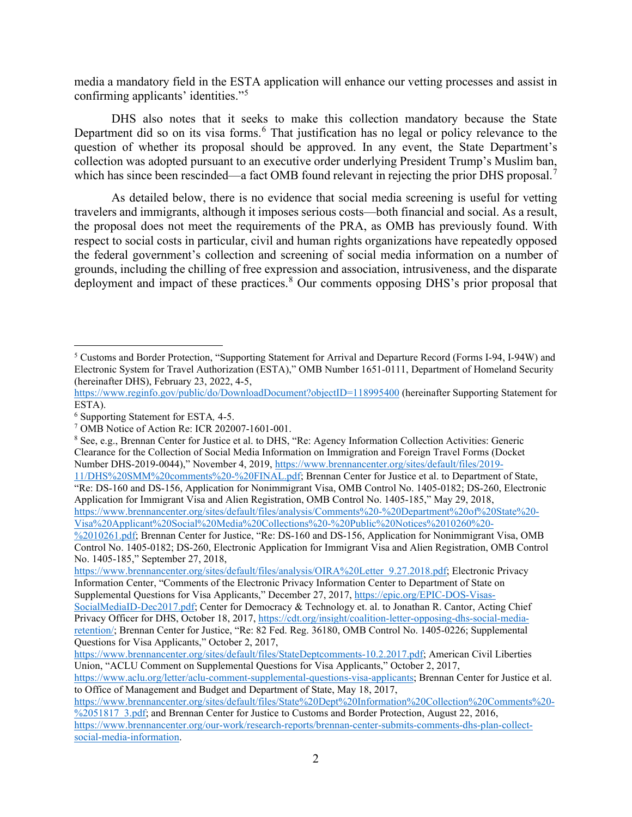media a mandatory field in the ESTA application will enhance our vetting processes and assist in confirming applicants' identities."[5](#page-1-0)

DHS also notes that it seeks to make this collection mandatory because the State Department did so on its visa forms.<sup>[6](#page-1-1)</sup> That justification has no legal or policy relevance to the question of whether its proposal should be approved. In any event, the State Department's collection was adopted pursuant to an executive order underlying President Trump's Muslim ban, which has since been rescinded—a fact OMB found relevant in rejecting the prior DHS proposal.<sup>[7](#page-1-2)</sup>

As detailed below, there is no evidence that social media screening is useful for vetting travelers and immigrants, although it imposes serious costs—both financial and social. As a result, the proposal does not meet the requirements of the PRA, as OMB has previously found. With respect to social costs in particular, civil and human rights organizations have repeatedly opposed the federal government's collection and screening of social media information on a number of grounds, including the chilling of free expression and association, intrusiveness, and the disparate deployment and impact of these practices. [8](#page-1-3) Our comments opposing DHS's prior proposal that

[https://www.brennancenter.org/sites/default/files/analysis/OIRA%20Letter\\_9.27.2018.pdf;](https://www.brennancenter.org/sites/default/files/analysis/OIRA%20Letter_9.27.2018.pdf) Electronic Privacy Information Center, "Comments of the Electronic Privacy Information Center to Department of State on Supplemental Questions for Visa Applicants," December 27, 2017[, https://epic.org/EPIC-DOS-Visas-](https://epic.org/EPIC-DOS-Visas-SocialMediaID-Dec2017.pdf)[SocialMediaID-Dec2017.pdf;](https://epic.org/EPIC-DOS-Visas-SocialMediaID-Dec2017.pdf) Center for Democracy & Technology et. al. to Jonathan R. Cantor, Acting Chief Privacy Officer for DHS, October 18, 2017, [https://cdt.org/insight/coalition-letter-opposing-dhs-social-media](https://cdt.org/insight/coalition-letter-opposing-dhs-social-media-retention/)[retention/;](https://cdt.org/insight/coalition-letter-opposing-dhs-social-media-retention/) Brennan Center for Justice, "Re: 82 Fed. Reg. 36180, OMB Control No. 1405-0226; Supplemental Questions for Visa Applicants," October 2, 2017,

<span id="page-1-0"></span><sup>5</sup> Customs and Border Protection, "Supporting Statement for Arrival and Departure Record (Forms I-94, I-94W) and Electronic System for Travel Authorization (ESTA)," OMB Number 1651-0111, Department of Homeland Security (hereinafter DHS), February 23, 2022, 4-5,

<https://www.reginfo.gov/public/do/DownloadDocument?objectID=118995400> (hereinafter Supporting Statement for ESTA).

<span id="page-1-2"></span><span id="page-1-1"></span>

<sup>6</sup> Supporting Statement for ESTA*,* 4-5. 7 OMB Notice of Action Re: ICR 202007-1601-001.

<span id="page-1-3"></span><sup>8</sup> See, e.g., Brennan Center for Justice et al. to DHS, "Re: Agency Information Collection Activities: Generic Clearance for the Collection of Social Media Information on Immigration and Foreign Travel Forms (Docket Number DHS-2019-0044)," November 4, 2019, [https://www.brennancenter.org/sites/default/files/2019-](https://www.brennancenter.org/sites/default/files/2019-11/DHS%20SMM%20comments%20-%20FINAL.pdf)

[<sup>11/</sup>DHS%20SMM%20comments%20-%20FINAL.pdf;](https://www.brennancenter.org/sites/default/files/2019-11/DHS%20SMM%20comments%20-%20FINAL.pdf) Brennan Center for Justice et al. to Department of State, "Re: DS-160 and DS-156, Application for Nonimmigrant Visa, OMB Control No. 1405-0182; DS-260, Electronic Application for Immigrant Visa and Alien Registration, OMB Control No. 1405-185," May 29, 2018, [https://www.brennancenter.org/sites/default/files/analysis/Comments%20-%20Department%20of%20State%20-](https://www.brennancenter.org/sites/default/files/analysis/Comments%20-%20Department%20of%20State%20-Visa%20Applicant%20Social%20Media%20Collections%20-%20Public%20Notices%2010260%20-%2010261.pdf)

[Visa%20Applicant%20Social%20Media%20Collections%20-%20Public%20Notices%2010260%20-](https://www.brennancenter.org/sites/default/files/analysis/Comments%20-%20Department%20of%20State%20-Visa%20Applicant%20Social%20Media%20Collections%20-%20Public%20Notices%2010260%20-%2010261.pdf) [%2010261.pdf;](https://www.brennancenter.org/sites/default/files/analysis/Comments%20-%20Department%20of%20State%20-Visa%20Applicant%20Social%20Media%20Collections%20-%20Public%20Notices%2010260%20-%2010261.pdf) Brennan Center for Justice, "Re: DS-160 and DS-156, Application for Nonimmigrant Visa, OMB Control No. 1405-0182; DS-260, Electronic Application for Immigrant Visa and Alien Registration, OMB Control No. 1405-185," September 27, 2018,

[https://www.brennancenter.org/sites/default/files/StateDeptcomments-10.2.2017.pdf;](https://www.brennancenter.org/sites/default/files/StateDeptcomments-10.2.2017.pdf) American Civil Liberties Union, "ACLU Comment on Supplemental Questions for Visa Applicants," October 2, 2017,

[https://www.aclu.org/letter/aclu-comment-supplemental-questions-visa-applicants;](https://www.aclu.org/letter/aclu-comment-supplemental-questions-visa-applicants) Brennan Center for Justice et al. to Office of Management and Budget and Department of State, May 18, 2017,

[https://www.brennancenter.org/sites/default/files/State%20Dept%20Information%20Collection%20Comments%20-](https://www.brennancenter.org/sites/default/files/State%20Dept%20Information%20Collection%20Comments%20-%2051817_3.pdf) [%2051817\\_3.pdf;](https://www.brennancenter.org/sites/default/files/State%20Dept%20Information%20Collection%20Comments%20-%2051817_3.pdf) and Brennan Center for Justice to Customs and Border Protection, August 22, 2016, [https://www.brennancenter.org/our-work/research-reports/brennan-center-submits-comments-dhs-plan-collect](https://www.brennancenter.org/our-work/research-reports/brennan-center-submits-comments-dhs-plan-collect-social-media-information)[social-media-information.](https://www.brennancenter.org/our-work/research-reports/brennan-center-submits-comments-dhs-plan-collect-social-media-information)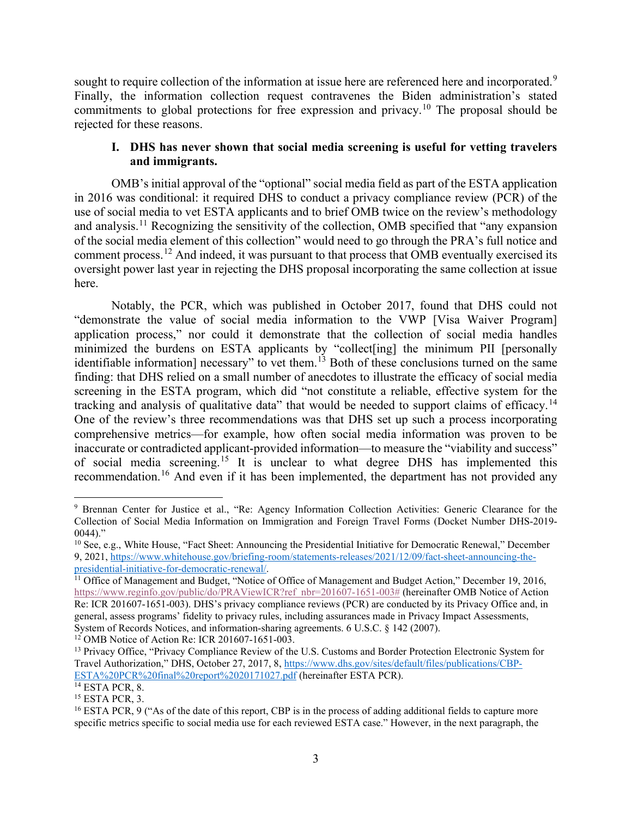sought to require collection of the information at issue here are referenced here and incorporated.<sup>[9](#page-2-0)</sup> Finally, the information collection request contravenes the Biden administration's stated commitments to global protections for free expression and privacy.[10](#page-2-1) The proposal should be rejected for these reasons.

# **I. DHS has never shown that social media screening is useful for vetting travelers and immigrants.**

OMB's initial approval of the "optional" social media field as part of the ESTA application in 2016 was conditional: it required DHS to conduct a privacy compliance review (PCR) of the use of social media to vet ESTA applicants and to brief OMB twice on the review's methodology and analysis.<sup>[11](#page-2-2)</sup> Recognizing the sensitivity of the collection, OMB specified that "any expansion" of the social media element of this collection" would need to go through the PRA's full notice and comment process.<sup>[12](#page-2-3)</sup> And indeed, it was pursuant to that process that OMB eventually exercised its oversight power last year in rejecting the DHS proposal incorporating the same collection at issue here.

Notably, the PCR, which was published in October 2017, found that DHS could not "demonstrate the value of social media information to the VWP [Visa Waiver Program] application process," nor could it demonstrate that the collection of social media handles minimized the burdens on ESTA applicants by "collect[ing] the minimum PII [personally identifiable information] necessary" to vet them.<sup>[13](#page-2-4)</sup> Both of these conclusions turned on the same finding: that DHS relied on a small number of anecdotes to illustrate the efficacy of social media screening in the ESTA program, which did "not constitute a reliable, effective system for the tracking and analysis of qualitative data" that would be needed to support claims of efficacy.<sup>[14](#page-2-5)</sup> One of the review's three recommendations was that DHS set up such a process incorporating comprehensive metrics—for example, how often social media information was proven to be inaccurate or contradicted applicant-provided information—to measure the "viability and success" of social media screening.[15](#page-2-6) It is unclear to what degree DHS has implemented this recommendation.<sup>[16](#page-2-7)</sup> And even if it has been implemented, the department has not provided any

<span id="page-2-0"></span><sup>9</sup> Brennan Center for Justice et al., "Re: Agency Information Collection Activities: Generic Clearance for the Collection of Social Media Information on Immigration and Foreign Travel Forms (Docket Number DHS-2019-  $0044$ )."

<span id="page-2-1"></span><sup>&</sup>lt;sup>10</sup> See, e.g., White House, "Fact Sheet: Announcing the Presidential Initiative for Democratic Renewal," December 9, 2021, [https://www.whitehouse.gov/briefing-room/statements-releases/2021/12/09/fact-sheet-announcing-the](https://www.whitehouse.gov/briefing-room/statements-releases/2021/12/09/fact-sheet-announcing-the-presidential-initiative-for-democratic-renewal/)[presidential-initiative-for-democratic-renewal/.](https://www.whitehouse.gov/briefing-room/statements-releases/2021/12/09/fact-sheet-announcing-the-presidential-initiative-for-democratic-renewal/)

<span id="page-2-2"></span><sup>&</sup>lt;sup>11</sup> Office of Management and Budget, "Notice of Office of Management and Budget Action," December 19, 2016, [https://www.reginfo.gov/public/do/PRAViewICR?ref\\_nbr=201607-1651-003#](https://www.reginfo.gov/public/do/PRAViewICR?ref_nbr=201607-1651-003) (hereinafter OMB Notice of Action Re: ICR 201607-1651-003). DHS's privacy compliance reviews (PCR) are conducted by its Privacy Office and, in general, assess programs' fidelity to privacy rules, including assurances made in Privacy Impact Assessments, System of Records Notices, and information-sharing agreements. 6 U.S.C. § 142 (2007).<br><sup>12</sup> OMB Notice of Action Re: ICR 201607-1651-003.<br><sup>13</sup> Privacy Office, "Privacy Compliance Review of the U.S. Customs and Border Protec

<span id="page-2-4"></span><span id="page-2-3"></span>Travel Authorization," DHS, October 27, 2017, 8, [https://www.dhs.gov/sites/default/files/publications/CBP-](https://www.dhs.gov/sites/default/files/publications/CBP-ESTA%20PCR%20final%20report%2020171027.pdf)[ESTA%20PCR%20final%20report%2020171027.pdf](https://www.dhs.gov/sites/default/files/publications/CBP-ESTA%20PCR%20final%20report%2020171027.pdf) (hereinafter ESTA PCR).

<span id="page-2-6"></span><span id="page-2-5"></span> $\frac{14}{15}$  ESTA PCR, 8.<br><sup>15</sup> ESTA PCR, 3.

<span id="page-2-7"></span><sup>&</sup>lt;sup>16</sup> ESTA PCR, 9 ("As of the date of this report, CBP is in the process of adding additional fields to capture more specific metrics specific to social media use for each reviewed ESTA case." However, in the next paragraph, the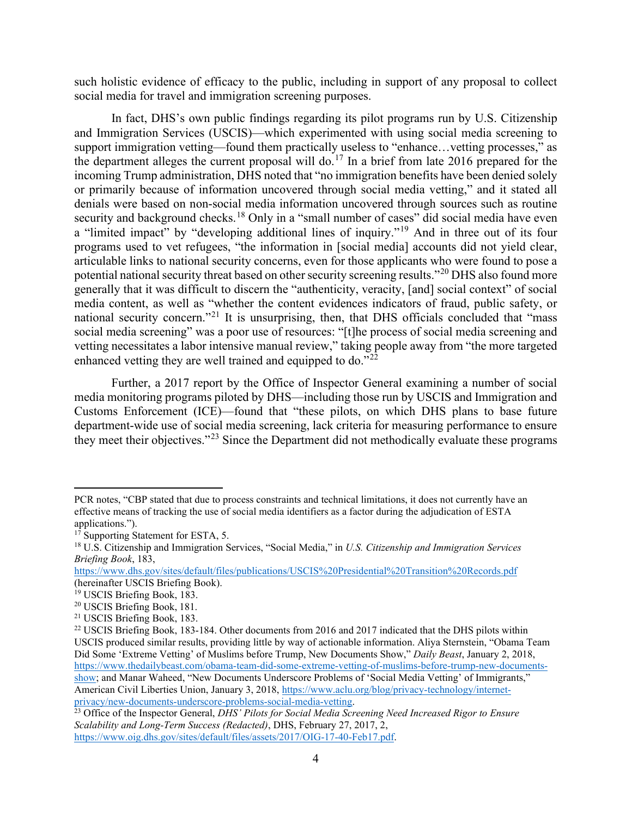such holistic evidence of efficacy to the public, including in support of any proposal to collect social media for travel and immigration screening purposes.

In fact, DHS's own public findings regarding its pilot programs run by U.S. Citizenship and Immigration Services (USCIS)—which experimented with using social media screening to support immigration vetting—found them practically useless to "enhance…vetting processes," as the department alleges the current proposal will do.<sup>[17](#page-3-0)</sup> In a brief from late 2016 prepared for the incoming Trump administration, DHS noted that "no immigration benefits have been denied solely or primarily because of information uncovered through social media vetting," and it stated all denials were based on non-social media information uncovered through sources such as routine security and background checks.<sup>[18](#page-3-1)</sup> Only in a "small number of cases" did social media have even a "limited impact" by "developing additional lines of inquiry."<sup>[19](#page-3-2)</sup> And in three out of its four programs used to vet refugees, "the information in [social media] accounts did not yield clear, articulable links to national security concerns, even for those applicants who were found to pose a potential national security threat based on other security screening results."[20](#page-3-3) DHS also found more generally that it was difficult to discern the "authenticity, veracity, [and] social context" of social media content, as well as "whether the content evidences indicators of fraud, public safety, or national security concern.<sup>"[21](#page-3-4)</sup> It is unsurprising, then, that DHS officials concluded that "mass" social media screening" was a poor use of resources: "[t]he process of social media screening and vetting necessitates a labor intensive manual review," taking people away from "the more targeted enhanced vetting they are well trained and equipped to do."<sup>[22](#page-3-5)</sup>

Further, a 2017 report by the Office of Inspector General examining a number of social media monitoring programs piloted by DHS—including those run by USCIS and Immigration and Customs Enforcement (ICE)—found that "these pilots, on which DHS plans to base future department-wide use of social media screening, lack criteria for measuring performance to ensure they meet their objectives."<sup>[23](#page-3-6)</sup> Since the Department did not methodically evaluate these programs

PCR notes, "CBP stated that due to process constraints and technical limitations, it does not currently have an effective means of tracking the use of social media identifiers as a factor during the adjudication of ESTA applications.").

<span id="page-3-0"></span><sup>&</sup>lt;sup>17</sup> Supporting Statement for ESTA, 5.

<span id="page-3-1"></span><sup>18</sup> U.S. Citizenship and Immigration Services, "Social Media," in *U.S. Citizenship and Immigration Services Briefing Book*, 183,

<https://www.dhs.gov/sites/default/files/publications/USCIS%20Presidential%20Transition%20Records.pdf> (hereinafter USCIS Briefing Book).

<span id="page-3-3"></span><span id="page-3-2"></span><sup>&</sup>lt;sup>19</sup> USCIS Briefing Book, 183.<br><sup>20</sup> USCIS Briefing Book, 181.

<span id="page-3-4"></span><sup>21</sup> USCIS Briefing Book, 183.

<span id="page-3-5"></span><sup>&</sup>lt;sup>22</sup> USCIS Briefing Book, 183-184. Other documents from 2016 and 2017 indicated that the DHS pilots within USCIS produced similar results, providing little by way of actionable information. Aliya Sternstein, "Obama Team Did Some 'Extreme Vetting' of Muslims before Trump, New Documents Show," *Daily Beast*, January 2, 2018, [https://www.thedailybeast.com/obama-team-did-some-extreme-vetting-of-muslims-before-trump-new-documents](https://www.thedailybeast.com/obama-team-did-some-extreme-vetting-of-muslims-before-trump-new-documents-show)[show;](https://www.thedailybeast.com/obama-team-did-some-extreme-vetting-of-muslims-before-trump-new-documents-show) and Manar Waheed, "New Documents Underscore Problems of 'Social Media Vetting' of Immigrants," American Civil Liberties Union, January 3, 2018, [https://www.aclu.org/blog/privacy-technology/internet](https://www.aclu.org/blog/privacy-technology/internet-privacy/new-documents-underscore-problems-social-media-vetting)[privacy/new-documents-underscore-problems-social-media-vetting.](https://www.aclu.org/blog/privacy-technology/internet-privacy/new-documents-underscore-problems-social-media-vetting)

<span id="page-3-6"></span><sup>&</sup>lt;sup>23</sup> Office of the Inspector General, *DHS' Pilots for Social Media Screening Need Increased Rigor to Ensure Scalability and Long-Term Success (Redacted)*, DHS, February 27, 2017, 2, [https://www.oig.dhs.gov/sites/default/files/assets/2017/OIG-17-40-Feb17.pdf.](https://www.oig.dhs.gov/sites/default/files/assets/2017/OIG-17-40-Feb17.pdf)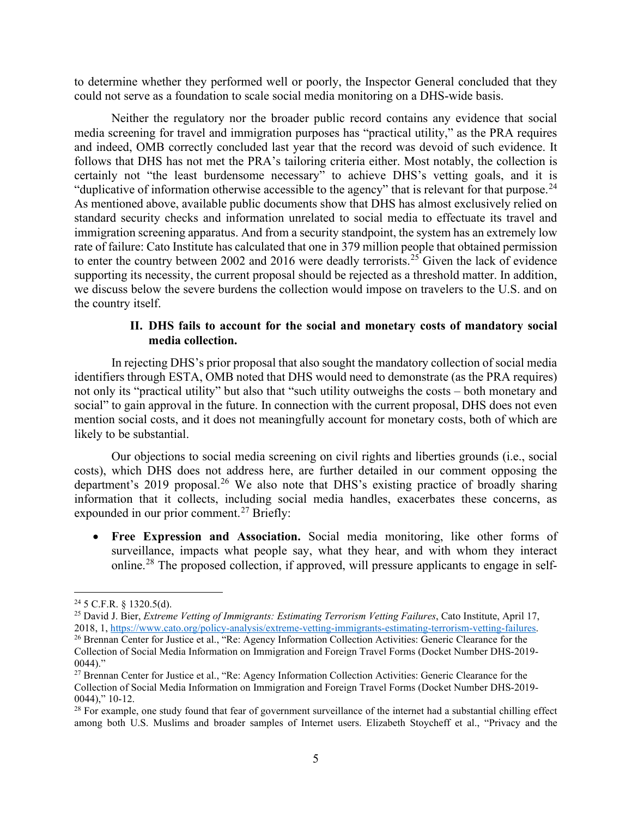to determine whether they performed well or poorly, the Inspector General concluded that they could not serve as a foundation to scale social media monitoring on a DHS-wide basis.

Neither the regulatory nor the broader public record contains any evidence that social media screening for travel and immigration purposes has "practical utility," as the PRA requires and indeed, OMB correctly concluded last year that the record was devoid of such evidence. It follows that DHS has not met the PRA's tailoring criteria either. Most notably, the collection is certainly not "the least burdensome necessary" to achieve DHS's vetting goals, and it is "duplicative of information otherwise accessible to the agency" that is relevant for that purpose.<sup>[24](#page-4-0)</sup> As mentioned above, available public documents show that DHS has almost exclusively relied on standard security checks and information unrelated to social media to effectuate its travel and immigration screening apparatus. And from a security standpoint, the system has an extremely low rate of failure: Cato Institute has calculated that one in 379 million people that obtained permission to enter the country between 2002 and 2016 were deadly terrorists.<sup>[25](#page-4-1)</sup> Given the lack of evidence supporting its necessity, the current proposal should be rejected as a threshold matter. In addition, we discuss below the severe burdens the collection would impose on travelers to the U.S. and on the country itself.

## **II. DHS fails to account for the social and monetary costs of mandatory social media collection.**

In rejecting DHS's prior proposal that also sought the mandatory collection of social media identifiers through ESTA, OMB noted that DHS would need to demonstrate (as the PRA requires) not only its "practical utility" but also that "such utility outweighs the costs – both monetary and social" to gain approval in the future. In connection with the current proposal, DHS does not even mention social costs, and it does not meaningfully account for monetary costs, both of which are likely to be substantial.

Our objections to social media screening on civil rights and liberties grounds (i.e., social costs), which DHS does not address here, are further detailed in our comment opposing the department's 2019 proposal.<sup>[26](#page-4-2)</sup> We also note that DHS's existing practice of broadly sharing information that it collects, including social media handles, exacerbates these concerns, as expounded in our prior comment.<sup>[27](#page-4-3)</sup> Briefly:

• **Free Expression and Association.** Social media monitoring, like other forms of surveillance, impacts what people say, what they hear, and with whom they interact online.<sup>[28](#page-4-4)</sup> The proposed collection, if approved, will pressure applicants to engage in self-

<span id="page-4-1"></span><span id="page-4-0"></span><sup>&</sup>lt;sup>24</sup> 5 C.F.R. § 1320.5(d).<br><sup>25</sup> David J. Bier, *Extreme Vetting of Immigrants: Estimating Terrorism Vetting Failures*, Cato Institute, April 17, 2018, 1, [https://www.cato.org/policy-analysis/extreme-vetting-immigrants-estimating-terrorism-vetting-failures.](https://www.cato.org/policy-analysis/extreme-vetting-immigrants-estimating-terrorism-vetting-failures)

<span id="page-4-2"></span><sup>&</sup>lt;sup>26</sup> Brennan Center for Justice et al., "Re: Agency Information Collection Activities: Generic Clearance for the Collection of Social Media Information on Immigration and Foreign Travel Forms (Docket Number DHS-2019-  $0044$ )."

<span id="page-4-3"></span><sup>&</sup>lt;sup>27</sup> Brennan Center for Justice et al., "Re: Agency Information Collection Activities: Generic Clearance for the Collection of Social Media Information on Immigration and Foreign Travel Forms (Docket Number DHS-2019- 0044)," 10-12.

<span id="page-4-4"></span> $28$  For example, one study found that fear of government surveillance of the internet had a substantial chilling effect among both U.S. Muslims and broader samples of Internet users. Elizabeth Stoycheff et al., "Privacy and the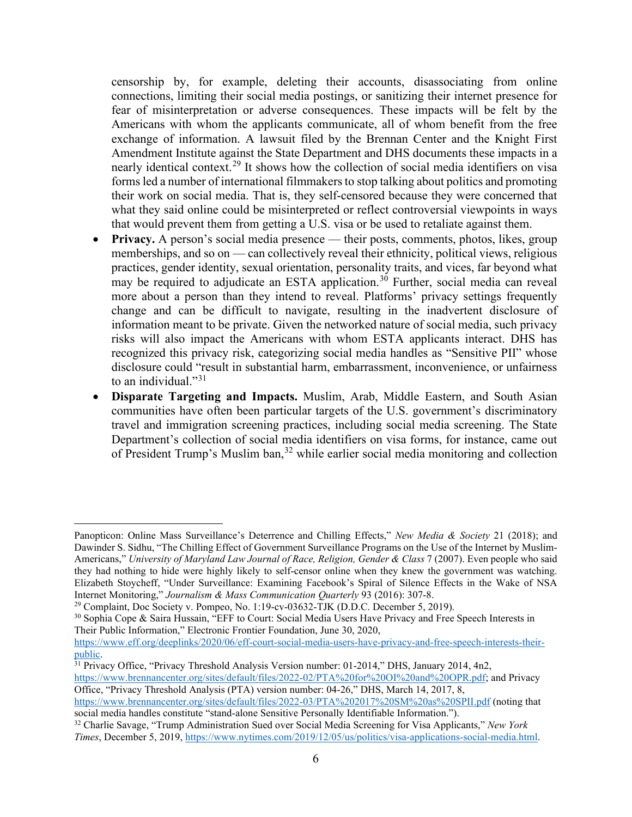censorship by, for example, deleting their accounts, disassociating from online connections, limiting their social media postings, or sanitizing their internet presence for fear of misinterpretation or adverse consequences. These impacts will be felt by the Americans with whom the applicants communicate, all of whom benefit from the free exchange of information. A lawsuit filed by the Brennan Center and the Knight First Amendment Institute against the State Department and DHS documents these impacts in a nearly identical context.<sup>[29](#page-5-0)</sup> It shows how the collection of social media identifiers on visa forms led a number of international filmmakers to stop talking about politics and promoting their work on social media. That is, they self-censored because they were concerned that what they said online could be misinterpreted or reflect controversial viewpoints in ways that would prevent them from getting a U.S. visa or be used to retaliate against them.

- **Privacy.** A person's social media presence their posts, comments, photos, likes, group memberships, and so on — can collectively reveal their ethnicity, political views, religious practices, gender identity, sexual orientation, personality traits, and vices, far beyond what may be required to adjudicate an ESTA application.<sup>[30](#page-5-1)</sup> Further, social media can reveal more about a person than they intend to reveal. Platforms' privacy settings frequently change and can be difficult to navigate, resulting in the inadvertent disclosure of information meant to be private. Given the networked nature of social media, such privacy risks will also impact the Americans with whom ESTA applicants interact. DHS has recognized this privacy risk, categorizing social media handles as "Sensitive PII" whose disclosure could "result in substantial harm, embarrassment, inconvenience, or unfairness to an individual." $31$
- **Disparate Targeting and Impacts.** Muslim, Arab, Middle Eastern, and South Asian communities have often been particular targets of the U.S. government's discriminatory travel and immigration screening practices, including social media screening. The State Department's collection of social media identifiers on visa forms, for instance, came out of President Trump's Muslim ban,  $32$  while earlier social media monitoring and collection

<span id="page-5-2"></span>[public.](https://www.eff.org/deeplinks/2020/06/eff-court-social-media-users-have-privacy-and-free-speech-interests-their-public)<br><sup>31</sup> Privacy Office, "Privacy Threshold Analysis Version number: 01-2014," DHS, January 2014, 4n2, [https://www.brennancenter.org/sites/default/files/2022-02/PTA%20for%20OI%20and%20OPR.pdf;](https://www.brennancenter.org/sites/default/files/2022-02/PTA%20for%20OI%20and%20OPR.pdf) and Privacy

Office, "Privacy Threshold Analysis (PTA) version number: 04-26," DHS, March 14, 2017, 8, <https://www.brennancenter.org/sites/default/files/2022-03/PTA%202017%20SM%20as%20SPII.pdf> (noting that

<span id="page-5-3"></span>social media handles constitute "stand-alone Sensitive Personally Identifiable Information."). <sup>32</sup> Charlie Savage, "Trump Administration Sued over Social Media Screening for Visa Applicants," *New York Times*, December 5, 2019[, https://www.nytimes.com/2019/12/05/us/politics/visa-applications-social-media.html.](https://www.nytimes.com/2019/12/05/us/politics/visa-applications-social-media.html)

Panopticon: Online Mass Surveillance's Deterrence and Chilling Effects," *New Media & Society* 21 (2018); and Dawinder S. Sidhu, "The Chilling Effect of Government Surveillance Programs on the Use of the Internet by Muslim-Americans," *University of Maryland Law Journal of Race, Religion, Gender & Class 7 (2007)*. Even people who said they had nothing to hide were highly likely to self-censor online when they knew the government was watching. Elizabeth Stoycheff, "Under Surveillance: Examining Facebook's Spiral of Silence Effects in the Wake of NSA Internet Monitoring," *Journalism & Mass Communication Quarterly* 93 (2016): 307-8.<br><sup>29</sup> Complaint, Doc Society v. Pompeo, No. 1:19-cv-03632-TJK (D.D.C. December 5, 2019).

<span id="page-5-0"></span>

<span id="page-5-1"></span><sup>&</sup>lt;sup>30</sup> Sophia Cope & Saira Hussain, "EFF to Court: Social Media Users Have Privacy and Free Speech Interests in Their Public Information," Electronic Frontier Foundation, June 30, 2020,

[https://www.eff.org/deeplinks/2020/06/eff-court-social-media-users-have-privacy-and-free-speech-interests-their-](https://www.eff.org/deeplinks/2020/06/eff-court-social-media-users-have-privacy-and-free-speech-interests-their-public)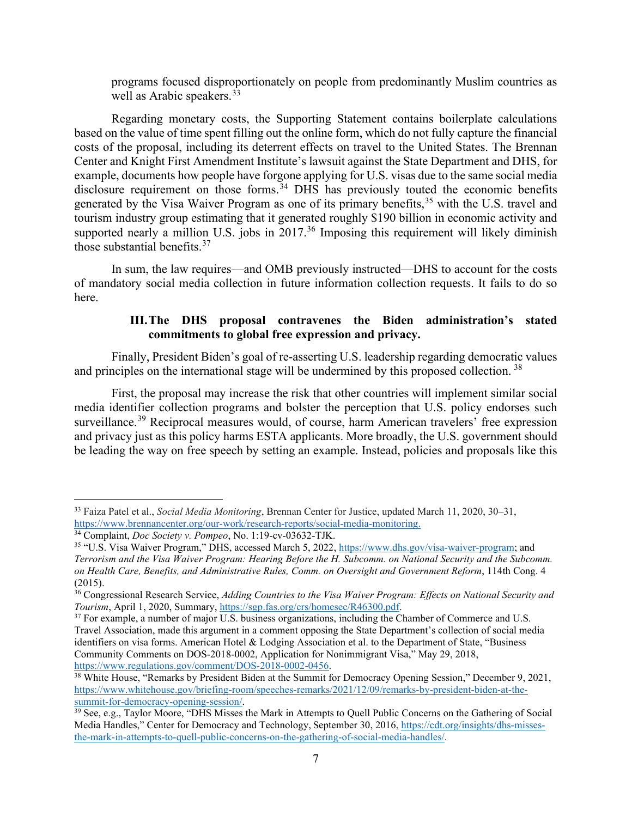programs focused disproportionately on people from predominantly Muslim countries as well as Arabic speakers.  $33$ 

Regarding monetary costs, the Supporting Statement contains boilerplate calculations based on the value of time spent filling out the online form, which do not fully capture the financial costs of the proposal, including its deterrent effects on travel to the United States. The Brennan Center and Knight First Amendment Institute's lawsuit against the State Department and DHS, for example, documents how people have forgone applying for U.S. visas due to the same social media disclosure requirement on those forms.<sup>[34](#page-6-1)</sup> DHS has previously touted the economic benefits generated by the Visa Waiver Program as one of its primary benefits,<sup>[35](#page-6-2)</sup> with the U.S. travel and tourism industry group estimating that it generated roughly \$190 billion in economic activity and supported nearly a million U.S. jobs in 2017.<sup>[36](#page-6-3)</sup> Imposing this requirement will likely diminish those substantial benefits. $37$ 

In sum, the law requires—and OMB previously instructed—DHS to account for the costs of mandatory social media collection in future information collection requests. It fails to do so here.

# **III.The DHS proposal contravenes the Biden administration's stated commitments to global free expression and privacy.**

Finally, President Biden's goal of re-asserting U.S. leadership regarding democratic values and principles on the international stage will be undermined by this proposed collection.<sup>[38](#page-6-5)</sup>

First, the proposal may increase the risk that other countries will implement similar social media identifier collection programs and bolster the perception that U.S. policy endorses such surveillance.<sup>[39](#page-6-6)</sup> Reciprocal measures would, of course, harm American travelers' free expression and privacy just as this policy harms ESTA applicants. More broadly, the U.S. government should be leading the way on free speech by setting an example. Instead, policies and proposals like this

<span id="page-6-0"></span><sup>33</sup> Faiza Patel et al., *Social Media Monitoring*, Brennan Center for Justice, updated March 11, 2020, 30–31, [https://www.brennancenter.org/our-work/research-reports/social-media-monitoring.](https://www.brennancenter.org/our-work/research-reports/social-media-monitoring)

<span id="page-6-1"></span><sup>34</sup> Complaint, *Doc Society v. Pompeo*, No. 1:19-cv-03632-TJK.

<span id="page-6-2"></span><sup>35</sup> "U.S. Visa Waiver Program," DHS, accessed March 5, 2022, [https://www.dhs.gov/visa-waiver-program;](https://www.dhs.gov/visa-waiver-program) and *Terrorism and the Visa Waiver Program: Hearing Before the H. Subcomm. on National Security and the Subcomm. on Health Care, Benefits, and Administrative Rules, Comm. on Oversight and Government Reform*, 114th Cong. 4 (2015).

<span id="page-6-3"></span><sup>36</sup> Congressional Research Service, *Adding Countries to the Visa Waiver Program: Effects on National Security and Tourism*, April 1, 2020, Summary, [https://sgp.fas.org/crs/homesec/R46300.pdf.](https://sgp.fas.org/crs/homesec/R46300.pdf)

<span id="page-6-4"></span><sup>&</sup>lt;sup>37</sup> For example, a number of major U.S. business organizations, including the Chamber of Commerce and U.S. Travel Association, made this argument in a comment opposing the State Department's collection of social media identifiers on visa forms. American Hotel & Lodging Association et al. to the Department of State, "Business Community Comments on DOS-2018-0002, Application for Nonimmigrant Visa," May 29, 2018, [https://www.regulations.gov/comment/DOS-2018-0002-0456.](https://www.regulations.gov/comment/DOS-2018-0002-0456)

<span id="page-6-5"></span><sup>&</sup>lt;sup>38</sup> White House, "Remarks by President Biden at the Summit for Democracy Opening Session," December 9, 2021, [https://www.whitehouse.gov/briefing-room/speeches-remarks/2021/12/09/remarks-by-president-biden-at-the](https://www.whitehouse.gov/briefing-room/speeches-remarks/2021/12/09/remarks-by-president-biden-at-the-summit-for-democracy-opening-session/)[summit-for-democracy-opening-session/.](https://www.whitehouse.gov/briefing-room/speeches-remarks/2021/12/09/remarks-by-president-biden-at-the-summit-for-democracy-opening-session/)

<span id="page-6-6"></span><sup>39</sup> See, e.g., Taylor Moore, "DHS Misses the Mark in Attempts to Quell Public Concerns on the Gathering of Social Media Handles," Center for Democracy and Technology, September 30, 2016[, https://cdt.org/insights/dhs-misses](https://cdt.org/insights/dhs-misses-the-mark-in-attempts-to-quell-public-concerns-on-the-gathering-of-social-media-handles/)[the-mark-in-attempts-to-quell-public-concerns-on-the-gathering-of-social-media-handles/.](https://cdt.org/insights/dhs-misses-the-mark-in-attempts-to-quell-public-concerns-on-the-gathering-of-social-media-handles/)